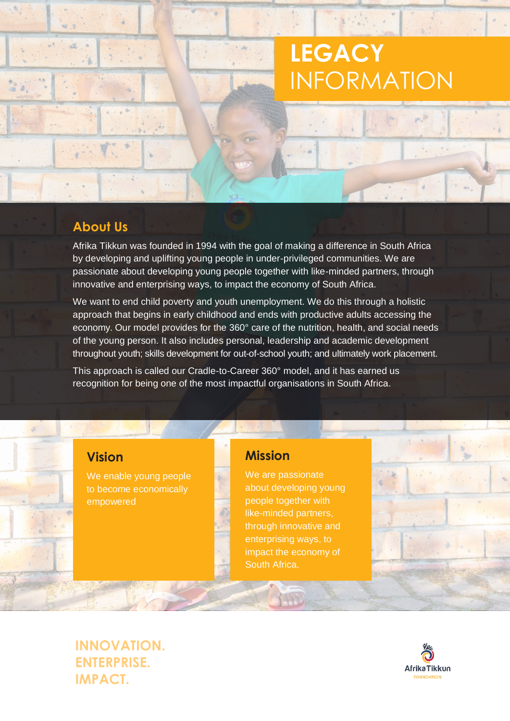# **LEGACY** INFORMATION

## **About Us**

Afrika Tikkun was founded in 1994 with the goal of making a difference in South Africa by developing and uplifting young people in under-privileged communities. We are passionate about developing young people together with like-minded partners, through innovative and enterprising ways, to impact the economy of South Africa.

We want to end child poverty and youth unemployment. We do this through a holistic approach that begins in early childhood and ends with productive adults accessing the economy. Our model provides for the 360° care of the nutrition, health, and social needs of the young person. It also includes personal, leadership and academic development throughout youth; skills development for out-of-school youth; and ultimately work placement.

This approach is called our Cradle-to-Career 360° model, and it has earned us recognition for being one of the most impactful organisations in South Africa.

### **Vision**

 $\overline{a}$ 

We enable young people to become economically empowered

### **Mission**

We are passionate about developing young people together with like-minded partners, through innovative and enterprising ways, to impact the economy of South Africa.

**INNOVATION. ENTERPRISE. IMPACT.**

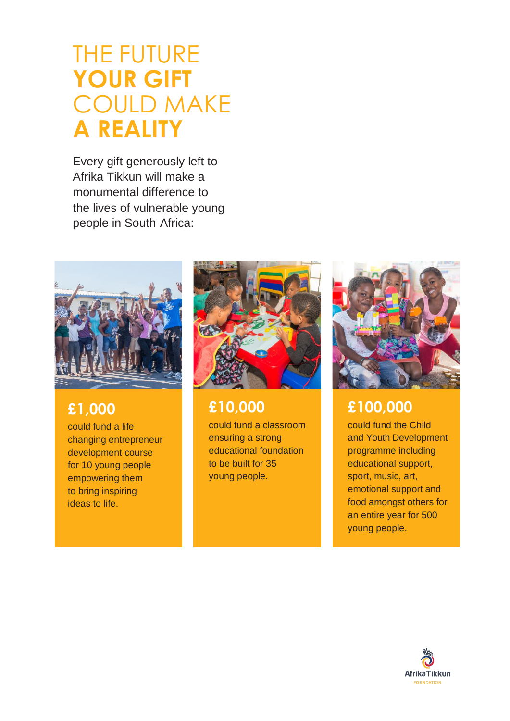# THE FUTURE **YOUR GIFT**  COULD MAKE **A REALITY**

Every gift generously left to Afrika Tikkun will make a monumental difference to the lives of vulnerable young people in South Africa:



# **£1,000**

could fund a life changing entrepreneur development course for 10 young people empowering them to bring inspiring ideas to life.



# **£10,000**

could fund a classroom ensuring a strong educational foundation to be built for 35 young people.



# **£100,000**

could fund the Child and Youth Development programme including educational support, sport, music, art, emotional support and food amongst others for an entire year for 500 young people.

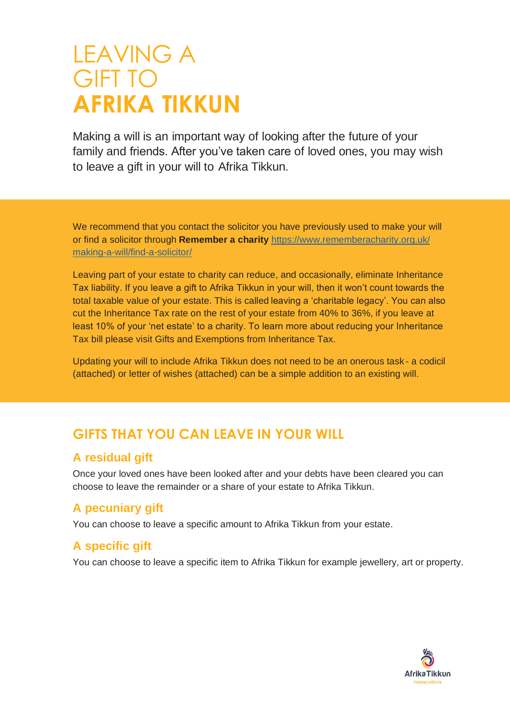# LEAVING A GIFT TO **AFRIKA TIKKUN**

Making a will is an important way of looking after the future of your family and friends. After you've taken care of loved ones, you may wish to leave a gift in your will to Afrika Tikkun.

We recommend that you contact the solicitor you have previously used to make your will or find a solicitor through **Remember a charity** [https://www.rememberacharity.](http://www.rememberacharity.org.uk/)org.uk/ making-a-will/find-a-solicitor/

Leaving part of your estate to charity can reduce, and occasionally, eliminate Inheritance Tax liability. If you leave a gift to Afrika Tikkun in your will, then it won't count towards the total taxable value of your estate. This is called leaving a 'charitable legacy'. You can also cut the Inheritance Tax rate on the rest of your estate from 40% to 36%, if you leave at least 10% of your 'net estate' to a charity. To learn more about reducing your Inheritance Tax bill please visit Gifts and Exemptions from Inheritance Tax.

Updating your will to include Afrika Tikkun does not need to be an onerous task - a codicil (attached) or letter of wishes (attached) can be a simple addition to an existing will.

# **GIFTS THAT YOU CAN LEAVE IN YOUR WILL**

### **A residual gift**

Once your loved ones have been looked after and your debts have been cleared you can choose to leave the remainder or a share of your estate to Afrika Tikkun.

### **A pecuniary gift**

You can choose to leave a specific amount to Afrika Tikkun from your estate.

# **A specific gift**

You can choose to leave a specific item to Afrika Tikkun for example jewellery, art or property.

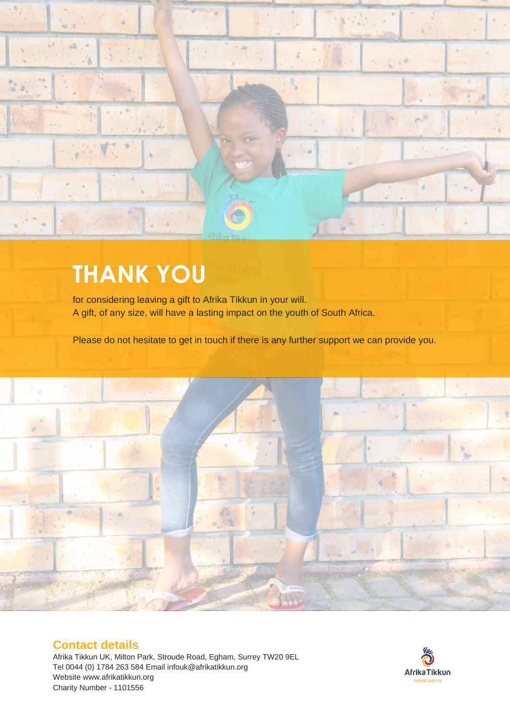

# **THANK YOU**

for considering leaving a gift to Afrika Tikkun in your will. A gift, of any size, will have a lasting impact on the youth of South Africa.

Please do not hesitate to get in touch if there is any further support we can provide you.



#### **Contact details**

Afrika Tikkun UK, Milton Park, Stroude Road, Egham, Surrey TW20 9EL Tel 0044 (0) 1784 263 584 Email [infouk@afrikatikkun.org](mailto:infouk@afrikatikkun.org) Websit[e www.afrikatikkun.org](http://www.afrikatikkun.org/) Charity Number - 1101556

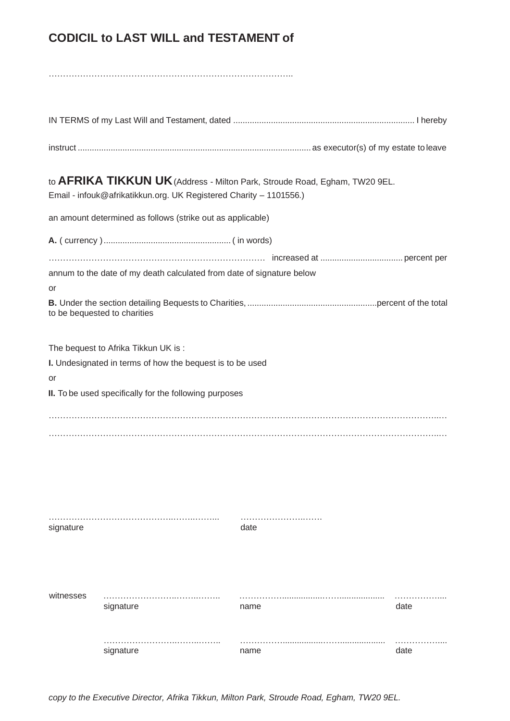## **CODICIL to LAST WILL and TESTAMENT of**

|           | to AFRIKA TIKKUN UK (Address - Milton Park, Stroude Road, Egham, TW20 9EL.<br>Email - infouk@afrikatikkun.org. UK Registered Charity - 1101556.)           |      |  |      |
|-----------|------------------------------------------------------------------------------------------------------------------------------------------------------------|------|--|------|
|           | an amount determined as follows (strike out as applicable)                                                                                                 |      |  |      |
|           |                                                                                                                                                            |      |  |      |
| or        | annum to the date of my death calculated from date of signature below<br>to be bequested to charities                                                      |      |  |      |
| or        | The bequest to Afrika Tikkun UK is:<br>I. Undesignated in terms of how the bequest is to be used<br>II. To be used specifically for the following purposes |      |  |      |
|           |                                                                                                                                                            |      |  |      |
| signature |                                                                                                                                                            | date |  |      |
| witnesses | signature                                                                                                                                                  | name |  | date |
|           | signature                                                                                                                                                  | name |  | date |

*copy to the Executive Director, Afrika Tikkun, Milton Park, Stroude Road, Egham, TW20 9EL.*